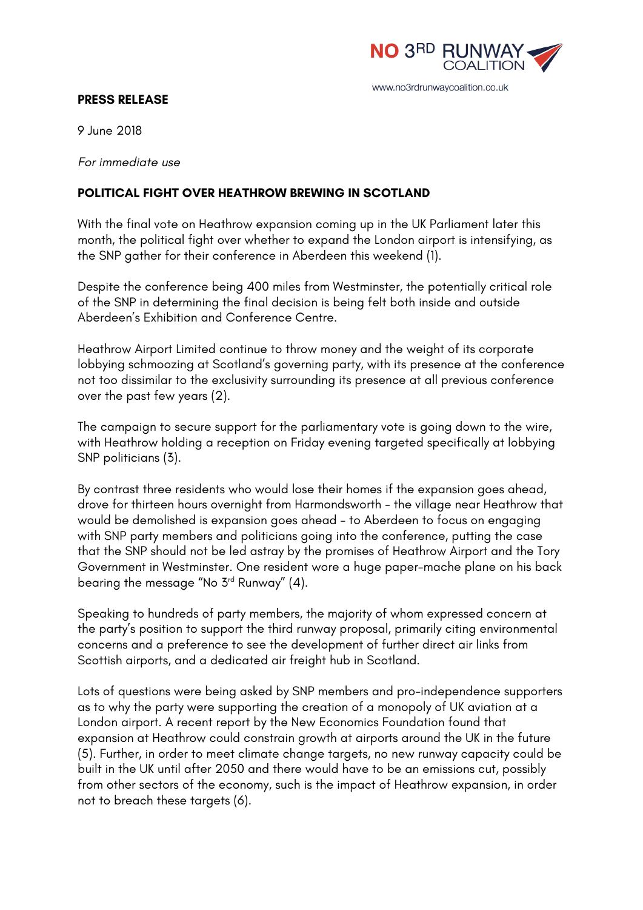

#### **PRESS RELEASE**

9 June 2018

*For immediate use*

### **POLITICAL FIGHT OVER HEATHROW BREWING IN SCOTLAND**

With the final vote on Heathrow expansion coming up in the UK Parliament later this month, the political fight over whether to expand the London airport is intensifying, as the SNP gather for their conference in Aberdeen this weekend (1).

Despite the conference being 400 miles from Westminster, the potentially critical role of the SNP in determining the final decision is being felt both inside and outside Aberdeen's Exhibition and Conference Centre.

Heathrow Airport Limited continue to throw money and the weight of its corporate lobbying schmoozing at Scotland's governing party, with its presence at the conference not too dissimilar to the exclusivity surrounding its presence at all previous conference over the past few years (2).

The campaign to secure support for the parliamentary vote is going down to the wire, with Heathrow holding a reception on Friday evening targeted specifically at lobbying SNP politicians (3).

By contrast three residents who would lose their homes if the expansion goes ahead, drove for thirteen hours overnight from Harmondsworth - the village near Heathrow that would be demolished is expansion goes ahead - to Aberdeen to focus on engaging with SNP party members and politicians going into the conference, putting the case that the SNP should not be led astray by the promises of Heathrow Airport and the Tory Government in Westminster. One resident wore a huge paper-mache plane on his back bearing the message "No 3rd Runway" (4).

Speaking to hundreds of party members, the majority of whom expressed concern at the party's position to support the third runway proposal, primarily citing environmental concerns and a preference to see the development of further direct air links from Scottish airports, and a dedicated air freight hub in Scotland.

Lots of questions were being asked by SNP members and pro-independence supporters as to why the party were supporting the creation of a monopoly of UK aviation at a London airport. A recent report by the New Economics Foundation found that expansion at Heathrow could constrain growth at airports around the UK in the future (5). Further, in order to meet climate change targets, no new runway capacity could be built in the UK until after 2050 and there would have to be an emissions cut, possibly from other sectors of the economy, such is the impact of Heathrow expansion, in order not to breach these targets (6).